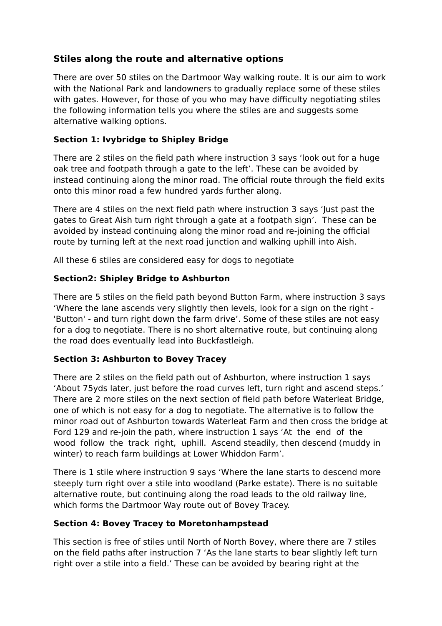# **Stiles along the route and alternative options**

There are over 50 stiles on the Dartmoor Way walking route. It is our aim to work with the National Park and landowners to gradually replace some of these stiles with gates. However, for those of you who may have difficulty negotiating stiles the following information tells you where the stiles are and suggests some alternative walking options.

## **Section 1: Ivybridge to Shipley Bridge**

There are 2 stiles on the field path where instruction 3 says 'look out for a huge oak tree and footpath through a gate to the left'. These can be avoided by instead continuing along the minor road. The official route through the field exits onto this minor road a few hundred yards further along.

There are 4 stiles on the next field path where instruction 3 says 'Just past the gates to Great Aish turn right through a gate at a footpath sign'. These can be avoided by instead continuing along the minor road and re-joining the official route by turning left at the next road junction and walking uphill into Aish.

All these 6 stiles are considered easy for dogs to negotiate

#### **Section2: Shipley Bridge to Ashburton**

There are 5 stiles on the field path beyond Button Farm, where instruction 3 says 'Where the lane ascends very slightly then levels, look for a sign on the right - 'Button' - and turn right down the farm drive'. Some of these stiles are not easy for a dog to negotiate. There is no short alternative route, but continuing along the road does eventually lead into Buckfastleigh.

#### **Section 3: Ashburton to Bovey Tracey**

There are 2 stiles on the field path out of Ashburton, where instruction 1 says 'About 75yds later, just before the road curves left, turn right and ascend steps.' There are 2 more stiles on the next section of field path before Waterleat Bridge, one of which is not easy for a dog to negotiate. The alternative is to follow the minor road out of Ashburton towards Waterleat Farm and then cross the bridge at Ford 129 and re-join the path, where instruction 1 says 'At the end of the wood follow the track right, uphill. Ascend steadily, then descend (muddy in winter) to reach farm buildings at Lower Whiddon Farm'.

There is 1 stile where instruction 9 says 'Where the lane starts to descend more steeply turn right over a stile into woodland (Parke estate). There is no suitable alternative route, but continuing along the road leads to the old railway line, which forms the Dartmoor Way route out of Bovey Tracey.

#### **Section 4: Bovey Tracey to Moretonhampstead**

This section is free of stiles until North of North Bovey, where there are 7 stiles on the field paths after instruction 7 'As the lane starts to bear slightly left turn right over a stile into a field.' These can be avoided by bearing right at the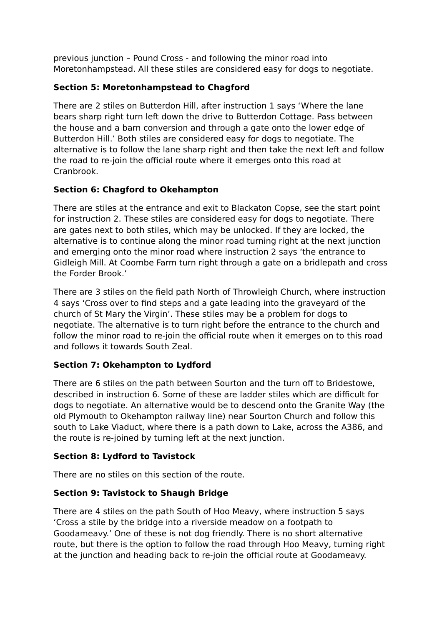previous junction – Pound Cross - and following the minor road into Moretonhampstead. All these stiles are considered easy for dogs to negotiate.

## **Section 5: Moretonhampstead to Chagford**

There are 2 stiles on Butterdon Hill, after instruction 1 says 'Where the lane bears sharp right turn left down the drive to Butterdon Cottage. Pass between the house and a barn conversion and through a gate onto the lower edge of Butterdon Hill.' Both stiles are considered easy for dogs to negotiate. The alternative is to follow the lane sharp right and then take the next left and follow the road to re-join the official route where it emerges onto this road at Cranbrook.

### **Section 6: Chagford to Okehampton**

There are stiles at the entrance and exit to Blackaton Copse, see the start point for instruction 2. These stiles are considered easy for dogs to negotiate. There are gates next to both stiles, which may be unlocked. If they are locked, the alternative is to continue along the minor road turning right at the next junction and emerging onto the minor road where instruction 2 says 'the entrance to Gidleigh Mill. At Coombe Farm turn right through a gate on a bridlepath and cross the Forder Brook.'

There are 3 stiles on the field path North of Throwleigh Church, where instruction 4 says 'Cross over to find steps and a gate leading into the graveyard of the church of St Mary the Virgin'. These stiles may be a problem for dogs to negotiate. The alternative is to turn right before the entrance to the church and follow the minor road to re-join the official route when it emerges on to this road and follows it towards South Zeal.

#### **Section 7: Okehampton to Lydford**

There are 6 stiles on the path between Sourton and the turn off to Bridestowe, described in instruction 6. Some of these are ladder stiles which are difficult for dogs to negotiate. An alternative would be to descend onto the Granite Way (the old Plymouth to Okehampton railway line) near Sourton Church and follow this south to Lake Viaduct, where there is a path down to Lake, across the A386, and the route is re-joined by turning left at the next junction.

#### **Section 8: Lydford to Tavistock**

There are no stiles on this section of the route.

#### **Section 9: Tavistock to Shaugh Bridge**

There are 4 stiles on the path South of Hoo Meavy, where instruction 5 says 'Cross a stile by the bridge into a riverside meadow on a footpath to Goodameavy.' One of these is not dog friendly. There is no short alternative route, but there is the option to follow the road through Hoo Meavy, turning right at the junction and heading back to re-join the official route at Goodameavy.